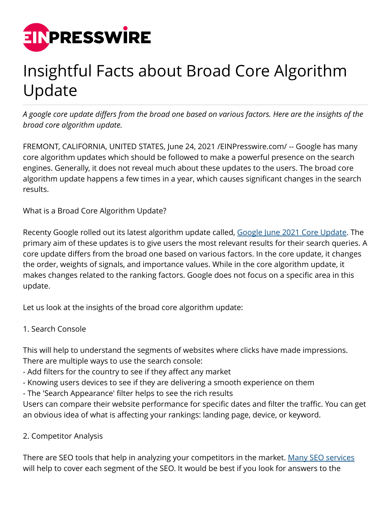

# Insightful Facts about Broad Core Algorithm Update

*A google core update differs from the broad one based on various factors. Here are the insights of the broad core algorithm update.*

FREMONT, CALIFORNIA, UNITED STATES, June 24, 2021 /[EINPresswire.com/](http://www.einpresswire.com) -- Google has many core algorithm updates which should be followed to make a powerful presence on the search engines. Generally, it does not reveal much about these updates to the users. The broad core algorithm update happens a few times in a year, which causes significant changes in the search results.

What is a Broad Core Algorithm Update?

Recenty Google rolled out its latest algorithm update called, [Google June 2021 Core Update.](https://www.elsner.com/all-you-need-to-know-about-june-2021-google-core-update/) The primary aim of these updates is to give users the most relevant results for their search queries. A core update differs from the broad one based on various factors. In the core update, it changes the order, weights of signals, and importance values. While in the core algorithm update, it makes changes related to the ranking factors. Google does not focus on a specific area in this update.

Let us look at the insights of the broad core algorithm update:

#### 1. Search Console

This will help to understand the segments of websites where clicks have made impressions. There are multiple ways to use the search console:

- Add filters for the country to see if they affect any market
- Knowing users devices to see if they are delivering a smooth experience on them
- The 'Search Appearance' filter helps to see the rich results

Users can compare their website performance for specific dates and filter the traffic. You can get an obvious idea of what is affecting your rankings: landing page, device, or keyword.

#### 2. Competitor Analysis

There are SEO tools that help in analyzing your competitors in the market. [Many SEO services](https://www.elsner.com/services/seo-services/) will help to cover each segment of the SEO. It would be best if you look for answers to the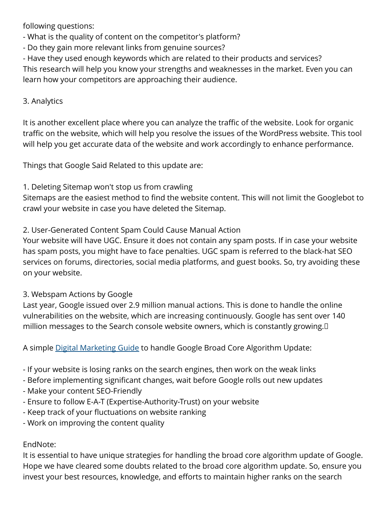following questions:

- What is the quality of content on the competitor's platform?

- Do they gain more relevant links from genuine sources?
- Have they used enough keywords which are related to their products and services?

This research will help you know your strengths and weaknesses in the market. Even you can learn how your competitors are approaching their audience.

#### 3. Analytics

It is another excellent place where you can analyze the traffic of the website. Look for organic traffic on the website, which will help you resolve the issues of the WordPress website. This tool will help you get accurate data of the website and work accordingly to enhance performance.

Things that Google Said Related to this update are:

## 1. Deleting Sitemap won't stop us from crawling

Sitemaps are the easiest method to find the website content. This will not limit the Googlebot to crawl your website in case you have deleted the Sitemap.

## 2. User-Generated Content Spam Could Cause Manual Action

Your website will have UGC. Ensure it does not contain any spam posts. If in case your website has spam posts, you might have to face penalties. UGC spam is referred to the black-hat SEO services on forums, directories, social media platforms, and guest books. So, try avoiding these on your website.

## 3. Webspam Actions by Google

Last year, Google issued over 2.9 million manual actions. This is done to handle the online vulnerabilities on the website, which are increasing continuously. Google has sent over 140 million messages to the Search console website owners, which is constantly growing. 

A simple [Digital Marketing Guide](https://www.elsner.com/digital-marketing-a-step-by-step-guide/) to handle Google Broad Core Algorithm Update:

- If your website is losing ranks on the search engines, then work on the weak links
- Before implementing significant changes, wait before Google rolls out new updates
- Make your content SEO-Friendly
- Ensure to follow E-A-T (Expertise-Authority-Trust) on your website
- Keep track of your fluctuations on website ranking
- Work on improving the content quality

## EndNote:

It is essential to have unique strategies for handling the broad core algorithm update of Google. Hope we have cleared some doubts related to the broad core algorithm update. So, ensure you invest your best resources, knowledge, and efforts to maintain higher ranks on the search